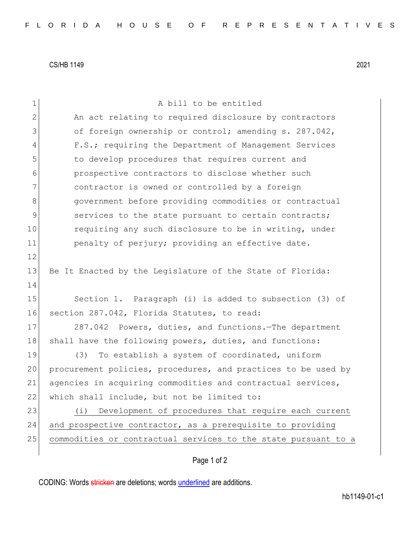CS/HB 1149 2021

| 1             | A bill to be entitled                                            |
|---------------|------------------------------------------------------------------|
| $\mathbf{2}$  | An act relating to required disclosure by contractors            |
| 3             | of foreign ownership or control; amending s. 287.042,            |
| 4             | F.S.; requiring the Department of Management Services            |
| 5             | to develop procedures that requires current and                  |
| 6             | prospective contractors to disclose whether such                 |
| 7             | contractor is owned or controlled by a foreign                   |
| 8             | government before providing commodities or contractual           |
| $\mathcal{G}$ | services to the state pursuant to certain contracts;             |
| 10            | requiring any such disclosure to be in writing, under            |
| 11            | penalty of perjury; providing an effective date.                 |
| 12            |                                                                  |
| 13            | Be It Enacted by the Legislature of the State of Florida:        |
| 14            |                                                                  |
| 15            | Section 1. Paragraph (i) is added to subsection (3) of           |
| 16            | section 287.042, Florida Statutes, to read:                      |
| 17            | 287.042 Powers, duties, and functions. The department            |
| 18            | shall have the following powers, duties, and functions:          |
| 19            | To establish a system of coordinated, uniform<br>(3)             |
| 20            | procurement policies, procedures, and practices to be used by    |
| 21            | agencies in acquiring commodities and contractual services,      |
| 22            | which shall include, but not be limited to:                      |
| 23            | Development of procedures that require each current<br>$(\perp)$ |
| 24            | and prospective contractor, as a prerequisite to providing       |
| 25            | commodities or contractual services to the state pursuant to a   |
|               |                                                                  |

## Page 1 of 2

CODING: Words stricken are deletions; words underlined are additions.